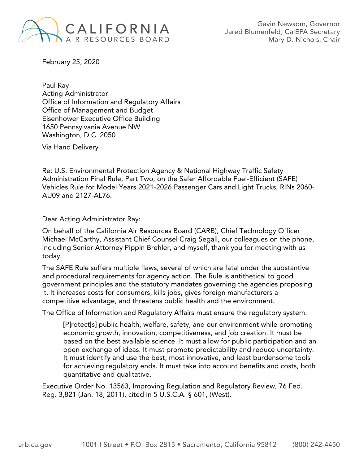

Gavin Newsom, Governor Jared Blumenfeld, CalEPA Secretary Mary D. Nichols, Chair

February 25, 2020

Paul Ray Acting Administrator Office of Information and Regulatory Affairs Office of Management and Budget Eisenhower Executive Office Building 1650 Pennsylvania Avenue NW Washington, D.C. 2050

Via Hand Delivery

Re: U.S. Environmental Protection Agency & National Highway Traffic Safety Administration Final Rule, Part Two, on the Safer Affordable Fuel-Efficient (SAFE) Vehicles Rule for Model Years 2021-2026 Passenger Cars and Light Trucks, RINs 2060- AU09 and 2127-AL76.

Dear Acting Administrator Ray:

On behalf of the California Air Resources Board (CARB), Chief Technology Officer Michael McCarthy, Assistant Chief Counsel Craig Segall, our colleagues on the phone, including Senior Attorney Pippin Brehler, and myself, thank you for meeting with us today.

The SAFE Rule suffers multiple flaws, several of which are fatal under the substantive and procedural requirements for agency action. The Rule is antithetical to good government principles and the statutory mandates governing the agencies proposing it. It increases costs for consumers, kills jobs, gives foreign manufacturers a competitive advantage, and threatens public health and the environment.

The Office of Information and Regulatory Affairs must ensure the regulatory system:

[P]rotect[s] public health, welfare, safety, and our environment while promoting economic growth, innovation, competitiveness, and job creation. It must be based on the best available science. It must allow for public participation and an open exchange of ideas. It must promote predictability and reduce uncertainty. It must identify and use the best, most innovative, and least burdensome tools for achieving regulatory ends. It must take into account benefits and costs, both quantitative and qualitative.

Executive Order No. 13563, Improving Regulation and Regulatory Review, 76 Fed. Reg. 3,821 (Jan. 18, 2011), cited in 5 U.S.C.A. § 601, (West).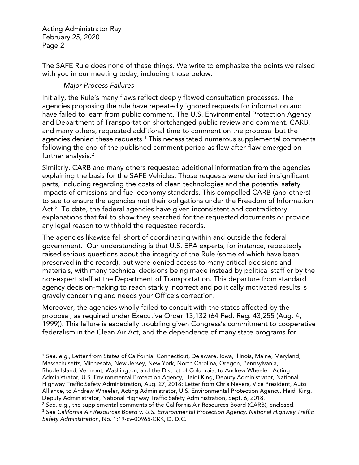$\overline{a}$ 

The SAFE Rule does none of these things. We write to emphasize the points we raised with you in our meeting today, including those below.

## *Major Process Failures*

Initially, the Rule's many flaws reflect deeply flawed consultation processes. The agencies proposing the rule have repeatedly ignored requests for information and have failed to learn from public comment. The U.S. Environmental Protection Agency and Department of Transportation shortchanged public review and comment. CARB, and many others, requested additional time to comment on the proposal but the agencies denied these requests.<sup>[1](#page-1-0)</sup> This necessitated numerous supplemental comments following the end of the published comment period as flaw after flaw emerged on further analysis. [2](#page-1-1)

Similarly, CARB and many others requested additional information from the agencies explaining the basis for the SAFE Vehicles. Those requests were denied in significant parts, including regarding the costs of clean technologies and the potential safety impacts of emissions and fuel economy standards. This compelled CARB (and others) to sue to ensure the agencies met their obligations under the Freedom of Information Act. $^{\rm 3}$  $^{\rm 3}$  $^{\rm 3}$  To date, the federal agencies have given inconsistent and contradictory explanations that fail to show they searched for the requested documents or provide any legal reason to withhold the requested records.

The agencies likewise fell short of coordinating within and outside the federal government. Our understanding is that U.S. EPA experts, for instance, repeatedly raised serious questions about the integrity of the Rule (some of which have been preserved in the record), but were denied access to many critical decisions and materials, with many technical decisions being made instead by political staff or by the non-expert staff at the Department of Transportation. This departure from standard agency decision-making to reach starkly incorrect and politically motivated results is gravely concerning and needs your Office's correction.

Moreover, the agencies wholly failed to consult with the states affected by the proposal, as required under Executive Order 13,132 (64 Fed. Reg. 43,255 (Aug. 4, 1999)). This failure is especially troubling given Congress's commitment to cooperative federalism in the Clean Air Act, and the dependence of many state programs for

<span id="page-1-0"></span><sup>1</sup> *See, e.g.,* Letter from States of California, Connecticut, Delaware, Iowa, Illinois, Maine, Maryland, Massachusetts, Minnesota, New Jersey, New York, North Carolina, Oregon, Pennsylvania, Rhode Island, Vermont, Washington, and the District of Columbia, to Andrew Wheeler, Acting Administrator, U.S. Environmental Protection Agency, Heidi King, Deputy Administrator, National Highway Traffic Safety Administration, Aug. 27, 2018; Letter from Chris Nevers, Vice President, Auto Alliance, to Andrew Wheeler, Acting Administrator, U.S. Environmental Protection Agency, Heidi King, Deputy Administrator, National Highway Traffic Safety Administration, Sept. 6, 2018.

<span id="page-1-1"></span><sup>&</sup>lt;sup>2</sup> See, e.g., the supplemental comments of the California Air Resources Board (CARB), enclosed.<br><sup>3</sup> See California Air Resources Board v. U.S. Environmental Protection Agency, National Highway Traffic

<span id="page-1-2"></span>*Safety Administration,* No. 1:19-cv-00965-CKK, D. D.C.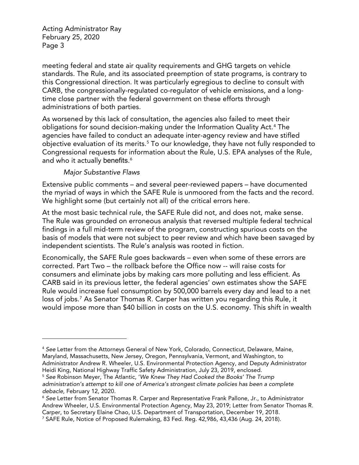meeting federal and state air quality requirements and GHG targets on vehicle standards. The Rule, and its associated preemption of state programs, is contrary to this Congressional direction. It was particularly egregious to decline to consult with CARB, the congressionally-regulated co-regulator of vehicle emissions, and a longtime close partner with the federal government on these efforts through administrations of both parties.

As worsened by this lack of consultation, the agencies also failed to meet their obligations for sound decision-making under the Information Quality Act. [4](#page-2-0) The agencies have failed to conduct an adequate inter-agency review and have stifled objective evaluation of its merits.<sup>[5](#page-2-1)</sup> To our knowledge, they have not fully responded to Congressional requests for information about the Rule, U.S. EPA analyses of the Rule, and who it actually benefits. $^{\rm 6}$  $^{\rm 6}$  $^{\rm 6}$ 

## *Major Substantive Flaws*

 $\overline{a}$ 

Extensive public comments – and several peer-reviewed papers – have documented the myriad of ways in which the SAFE Rule is unmoored from the facts and the record. We highlight some (but certainly not all) of the critical errors here.

At the most basic technical rule, the SAFE Rule did not, and does not, make sense. The Rule was grounded on erroneous analysis that reversed multiple federal technical findings in a full mid-term review of the program, constructing spurious costs on the basis of models that were not subject to peer review and which have been savaged by independent scientists. The Rule's analysis was rooted in fiction.

Economically, the SAFE Rule goes backwards – even when some of these errors are corrected. Part Two – the rollback before the Office now -- will raise costs for consumers and eliminate jobs by making cars more polluting and less efficient. As CARB said in its previous letter, the federal agencies' own estimates show the SAFE Rule would increase fuel consumption by 500,000 barrels every day and lead to a net loss of jobs.<sup>[7](#page-2-3)</sup> As Senator Thomas R. Carper has written you regarding this Rule, it would impose more than \$40 billion in costs on the U.S. economy. This shift in wealth

<span id="page-2-0"></span><sup>4</sup> *See* Letter from the Attorneys General of New York, Colorado, Connecticut, Delaware, Maine, Maryland, Massachusetts, New Jersey, Oregon, Pennsylvania, Vermont, and Washington, to Administrator Andrew R. Wheeler, U.S. Environmental Protection Agency, and Deputy Administrator Heidi King, National Highway Traffic Safety Administration, July 23, 2019, enclosed.

<span id="page-2-1"></span><sup>5</sup> *See* Robinson Meyer, The Atlantic, '*We Knew They Had Cooked the Books' The Trump administration's attempt to kill one of America's strongest climate policies has been a complete debacle*, February 12, 2020.

<span id="page-2-2"></span><sup>6</sup> *See* Letter from Senator Thomas R. Carper and Representative Frank Pallone, Jr., to Administrator Andrew Wheeler, U.S. Environmental Protection Agency, May 23, 2019; Letter from Senator Thomas R. Carper, to Secretary Elaine Chao, U.S. Department of Transportation, December 19, 2018.

<span id="page-2-3"></span><sup>7</sup> SAFE Rule, Notice of Proposed Rulemaking, 83 Fed. Reg. 42,986, 43,436 (Aug. 24, 2018).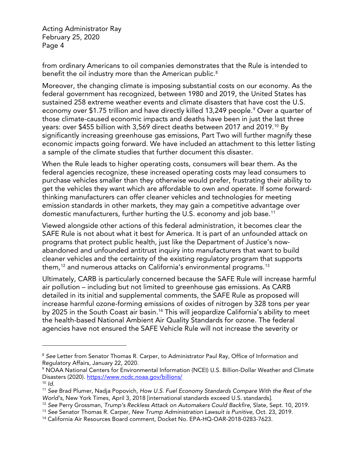from ordinary Americans to oil companies demonstrates that the Rule is intended to benefit the oil industry more than the American public.<sup>[8](#page-3-0)</sup>

Moreover, the changing climate is imposing substantial costs on our economy. As the federal government has recognized, between 1980 and 2019, the United States has sustained 258 extreme weather events and climate disasters that have cost the U.S. economy over \$1.75 trillion and have directly killed 13,24[9](#page-3-1) people.<sup>9</sup> Over a quarter of those climate-caused economic impacts and deaths have been in just the last three years: over \$455 billion with 3,569 direct deaths between 2017 and 2019.[10](#page-3-2) By significantly increasing greenhouse gas emissions, Part Two will further magnify these economic impacts going forward. We have included an attachment to this letter listing a sample of the climate studies that further document this disaster.

When the Rule leads to higher operating costs, consumers will bear them. As the federal agencies recognize, these increased operating costs may lead consumers to purchase vehicles smaller than they otherwise would prefer, frustrating their ability to get the vehicles they want which are affordable to own and operate. If some forwardthinking manufacturers can offer cleaner vehicles and technologies for meeting emission standards in other markets, they may gain a competitive advantage over domestic manufacturers, further hurting the U.S. economy and job base.[11](#page-3-3)

Viewed alongside other actions of this federal administration, it becomes clear the SAFE Rule is not about what it best for America. It is part of an unfounded attack on programs that protect public health, just like the Department of Justice's nowabandoned and unfounded antitrust inquiry into manufacturers that want to build cleaner vehicles and the certainty of the existing regulatory program that supports them,<sup>[12](#page-3-4)</sup> and numerous attacks on California's environmental programs.<sup>[13](#page-3-5)</sup>

Ultimately, CARB is particularly concerned because the SAFE Rule will increase harmful air pollution – including but not limited to greenhouse gas emissions. As CARB detailed in its initial and supplemental comments, the SAFE Rule as proposed will increase harmful ozone-forming emissions of oxides of nitrogen by 328 tons per year by 2025 in the South Coast air basin.<sup>[14](#page-3-6)</sup> This will jeopardize California's ability to meet the health-based National Ambient Air Quality Standards for ozone. The federal agencies have not ensured the SAFE Vehicle Rule will not increase the severity or

 $\overline{a}$ 

<span id="page-3-0"></span><sup>8</sup> *See* Letter from Senator Thomas R. Carper, to Administrator Paul Ray, Office of Information and Regulatory Affairs, January 22, 2020.

<span id="page-3-1"></span><sup>9</sup> NOAA National Centers for Environmental Information (NCEI) U.S. Billion-Dollar Weather and Climate Disasters (2020). <https://www.ncdc.noaa.gov/billions/>

<span id="page-3-2"></span><sup>10</sup> *Id.*

<span id="page-3-3"></span><sup>11</sup> *See* Brad Plumer, Nadja Popovich, *How U.S. Fuel Economy Standards Compare With the Rest of the World's,* New York Times, April 3, 2018 [international standards exceed U.S. standards].

<span id="page-3-5"></span><span id="page-3-4"></span><sup>12</sup> *See* Perry Grossman, *Trump's Reckless Attack on Automakers Could Backfire*, Slate, Sept. 10, 2019.

<sup>13</sup> *See* Senator Thomas R. Carper, *New Trump Administration Lawsuit is Punitive,* Oct. 23, 2019.

<span id="page-3-6"></span><sup>14</sup> California Air Resources Board comment, Docket No. EPA-HQ-OAR-2018-0283-7623.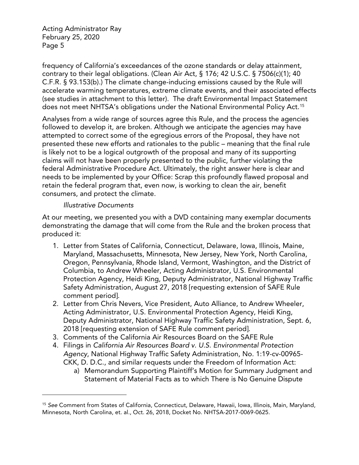frequency of California's exceedances of the ozone standards or delay attainment, contrary to their legal obligations. (Clean Air Act, § 176; 42 U.S.C. § 7506(c)(1); 40 C.F.R. § 93.153(b).) The climate change-inducing emissions caused by the Rule will accelerate warming temperatures, extreme climate events, and their associated effects (see studies in attachment to this letter). The draft Environmental Impact Statement does not meet NHTSA's obligations under the National Environmental Policy Act.<sup>[15](#page-4-0)</sup>

Analyses from a wide range of sources agree this Rule, and the process the agencies followed to develop it, are broken. Although we anticipate the agencies may have attempted to correct some of the egregious errors of the Proposal, they have not presented these new efforts and rationales to the public – meaning that the final rule is likely not to be a logical outgrowth of the proposal and many of its supporting claims will not have been properly presented to the public, further violating the federal Administrative Procedure Act. Ultimately, the right answer here is clear and needs to be implemented by your Office: Scrap this profoundly flawed proposal and retain the federal program that, even now, is working to clean the air, benefit consumers, and protect the climate.

## *Illustrative Documents*

 $\overline{a}$ 

At our meeting, we presented you with a DVD containing many exemplar documents demonstrating the damage that will come from the Rule and the broken process that produced it:

- 1. Letter from States of California, Connecticut, Delaware, Iowa, Illinois, Maine, Maryland, Massachusetts, Minnesota, New Jersey, New York, North Carolina, Oregon, Pennsylvania, Rhode Island, Vermont, Washington, and the District of Columbia, to Andrew Wheeler, Acting Administrator, U.S. Environmental Protection Agency, Heidi King, Deputy Administrator, National Highway Traffic Safety Administration, August 27, 2018 [requesting extension of SAFE Rule comment period].
- 2. Letter from Chris Nevers, Vice President, Auto Alliance, to Andrew Wheeler, Acting Administrator, U.S. Environmental Protection Agency, Heidi King, Deputy Administrator, National Highway Traffic Safety Administration, Sept. 6, 2018 [requesting extension of SAFE Rule comment period].
- 3. Comments of the California Air Resources Board on the SAFE Rule
- 4. Filings in *California Air Resources Board v. U.S. Environmental Protection Agency*, National Highway Traffic Safety Administration, No. 1:19-cv-00965- CKK, D. D.C., and similar requests under the Freedom of Information Act:
	- a) Memorandum Supporting Plaintiff's Motion for Summary Judgment and Statement of Material Facts as to which There is No Genuine Dispute

<span id="page-4-0"></span><sup>15</sup> *See* Comment from States of California, Connecticut, Delaware, Hawaii, Iowa, Illinois, Main, Maryland, Minnesota, North Carolina, et. al., Oct. 26, 2018, Docket No. NHTSA-2017-0069-0625.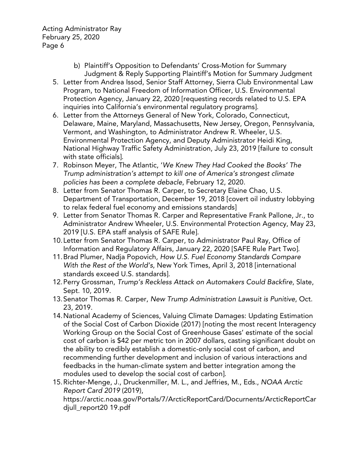- b) Plaintiff's Opposition to Defendants' Cross-Motion for Summary Judgment & Reply Supporting Plaintiff's Motion for Summary Judgment
- 5. Letter from Andrea Issod, Senior Staff Attorney, Sierra Club Environmental Law Program, to National Freedom of Information Officer, U.S. Environmental Protection Agency, January 22, 2020 [requesting records related to U.S. EPA inquiries into California's environmental regulatory programs].
- 6. Letter from the Attorneys General of New York, Colorado, Connecticut, Delaware, Maine, Maryland, Massachusetts, New Jersey, Oregon, Pennsylvania, Vermont, and Washington, to Administrator Andrew R. Wheeler, U.S. Environmental Protection Agency, and Deputy Administrator Heidi King, National Highway Traffic Safety Administration, July 23, 2019 [failure to consult with state officials].
- 7. Robinson Meyer, The Atlantic, '*We Knew They Had Cooked the Books' The Trump administration's attempt to kill one of America's strongest climate policies has been a complete debacle*, February 12, 2020.
- 8. Letter from Senator Thomas R. Carper, to Secretary Elaine Chao, U.S. Department of Transportation, December 19, 2018 [covert oil industry lobbying to relax federal fuel economy and emissions standards]
- 9. Letter from Senator Thomas R. Carper and Representative Frank Pallone, Jr., to Administrator Andrew Wheeler, U.S. Environmental Protection Agency, May 23, 2019 [U.S. EPA staff analysis of SAFE Rule].
- 10.Letter from Senator Thomas R. Carper, to Administrator Paul Ray, Office of Information and Regulatory Affairs, January 22, 2020 [SAFE Rule Part Two].
- 11.Brad Plumer, Nadja Popovich, *How U.S. Fuel Economy Standards Compare With the Rest of the World's*, New York Times, April 3, 2018 [international standards exceed U.S. standards].
- 12.Perry Grossman, *Trump's Reckless Attack on Automakers Could Backfire*, Slate, Sept. 10, 2019.
- 13.Senator Thomas R. Carper, *New Trump Administration Lawsuit is Punitive*, Oct. 23, 2019.
- 14.National Academy of Sciences, Valuing Climate Damages: Updating Estimation of the Social Cost of Carbon Dioxide (2017) [noting the most recent Interagency Working Group on the Social Cost of Greenhouse Gases' estimate of the social cost of carbon is \$42 per metric ton in 2007 dollars, casting significant doubt on the ability to credibly establish a domestic-only social cost of carbon, and recommending further development and inclusion of various interactions and feedbacks in the human-climate system and better integration among the modules used to develop the social cost of carbon].
- 15.Richter-Menge, J., Druckenmiller, M. L., and Jeffries, M., Eds., *NOAA Arctic Report Card 2019* (2019),

https://arctic.noaa.gov/Portals/7/ArcticReportCard/Docurnents/ArcticReportCar djull\_report20 19.pdf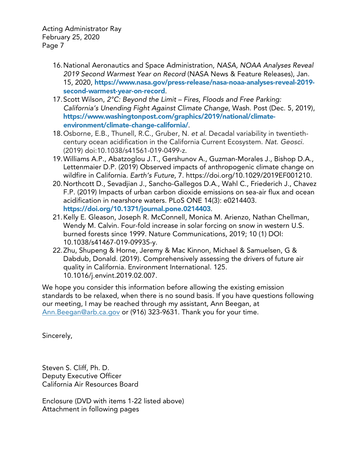- 16.National Aeronautics and Space Administration, *NASA, NOAA Analyses Reveal 2019 Second Warmest Year on Record* (NASA News & Feature Releases), Jan. 15, 2020, [https://www.nasa.gov/press-release/nasa-noaa-analyses-reveal-2019](https://www.nasa.gov/press-release/nasa-noaa-analyses-reveal-2019-second-warmest-year-on-record) [second-warmest-year-on-record](https://www.nasa.gov/press-release/nasa-noaa-analyses-reveal-2019-second-warmest-year-on-record).
- 17.Scott Wilson, *2°C: Beyond the Limit – Fires, Floods and Free Parking: California's Unending Fight Against Climate Change*, Wash. Post (Dec. 5, 2019), [https://www.washingtonpost.com/graphics/2019/national/climate](https://www.washingtonpost.com/graphics/2019/national/climate-environment/climate-change-california/)[environment/climate-change-california/](https://www.washingtonpost.com/graphics/2019/national/climate-environment/climate-change-california/).
- 18.Osborne, E.B., Thunell, R.C., Gruber, N. *et al.* Decadal variability in twentiethcentury ocean acidification in the California Current Ecosystem. *Nat. Geosci.* (2019) doi:10.1038/s41561-019-0499-z.
- 19.Williams A.P., Abatzoglou J.T., Gershunov A., Guzman-Morales J., Bishop D.A., Lettenmaier D.P. (2019) Observed impacts of anthropogenic climate change on wildfire in California. *Earth's Future*, 7. https://doi.org/10.1029/2019EF001210.
- 20.Northcott D., Sevadjian J., Sancho-Gallegos D.A., Wahl C., Friederich J., Chavez F.P. (2019) Impacts of urban carbon dioxide emissions on sea-air flux and ocean acidification in nearshore waters. PLoS ONE 14(3): e0214403. <https://doi.org/10.1371/journal.pone.0214403>.
- 21.Kelly E. Gleason, Joseph R. McConnell, Monica M. Arienzo, Nathan Chellman, Wendy M. Calvin. Four-fold increase in solar forcing on snow in western U.S. burned forests since 1999. Nature Communications, 2019; 10 (1) DOI: 10.1038/s41467-019-09935-y.
- 22.Zhu, Shupeng & Horne, Jeremy & Mac Kinnon, Michael & Samuelsen, G & Dabdub, Donald. (2019). Comprehensively assessing the drivers of future air quality in California. Environment International. 125. 10.1016/j.envint.2019.02.007.

We hope you consider this information before allowing the existing emission standards to be relaxed, when there is no sound basis. If you have questions following our meeting, I may be reached through my assistant, Ann Beegan, at [Ann.Beegan@arb.ca.gov](mailto:Ann.Beegan@arb.ca.gov) or (916) 323-9631. Thank you for your time.

Sincerely,

Steven S. Cliff, Ph. D. Deputy Executive Officer California Air Resources Board

Enclosure (DVD with items 1-22 listed above) Attachment in following pages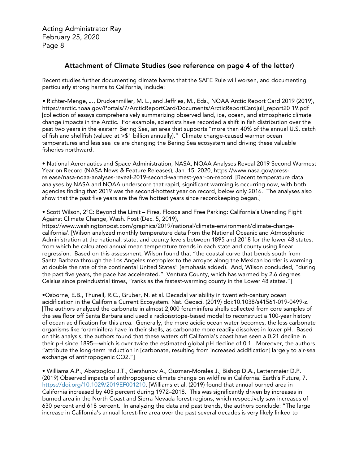## Attachment of Climate Studies (see reference on page 4 of the letter)

Recent studies further documenting climate harms that the SAFE Rule will worsen, and documenting particularly strong harms to California, include:

*•* Richter-Menge, J., Druckenmiller, M. L., and Jeffries, M., Eds., NOAA Arctic Report Card 2019 (2019), https://arctic.noaa.gov/Portals/7/ArcticReportCard/Docurnents/ArcticReportCardjull\_report20 19.pdf [collection of essays comprehensively summarizing observed land, ice, ocean, and atmospheric climate change impacts in the Arctic. For example, scientists have recorded a shift in fish distribution over the past two years in the eastern Bering Sea, an area that supports "more than 40% of the annual U.S. catch of fish and shellfish (valued at >\$1 billion annually)." Climate change-caused warmer ocean temperatures and less sea ice are changing the Bering Sea ecosystem and driving these valuable fisheries northward.

• National Aeronautics and Space Administration, NASA, NOAA Analyses Reveal 2019 Second Warmest Year on Record (NASA News & Feature Releases), Jan. 15, 2020, https://www.nasa.gov/pressrelease/nasa-noaa-analyses-reveal-2019-second-warmest-year-on-record. [Recent temperature data analyses by NASA and NOAA underscore that rapid, significant warming is occurring now, with both agencies finding that 2019 was the second-hottest year on record, below only 2016. The analyses also show that the past five years are the five hottest years since recordkeeping began.]

• Scott Wilson, 2°C: Beyond the Limit – Fires, Floods and Free Parking: California's Unending Fight Against Climate Change, Wash. Post (Dec. 5, 2019),

https://www.washingtonpost.com/graphics/2019/national/climate-environment/climate-changecalifornia/. [Wilson analyzed monthly temperature data from the National Oceanic and Atmospheric Administration at the national, state, and county levels between 1895 and 2018 for the lower 48 states, from which he calculated annual mean temperature trends in each state and county using linear regression. Based on this assessment, Wilson found that "the coastal curve that bends south from Santa Barbara through the Los Angeles metroplex to the arroyos along the Mexican border is warming at double the rate of the continental United States" (emphasis added). And, Wilson concluded, "during the past five years, the pace has accelerated." Ventura County, which has warmed by 2.6 degrees Celsius since preindustrial times, "ranks as the fastest-warming county in the Lower 48 states."]

•Osborne, E.B., Thunell, R.C., Gruber, N. et al. Decadal variability in twentieth-century ocean acidification in the California Current Ecosystem. Nat. Geosci. (2019) doi:10.1038/s41561-019-0499-z. [The authors analyzed the carbonate in almost 2,000 foraminifera shells collected from core samples of the sea floor off Santa Barbara and used a radioisotope-based model to reconstruct a 100-year history of ocean acidification for this area. Generally, the more acidic ocean water becomes, the less carbonate organisms like foraminifera have in their shells, as carbonate more readily dissolves in lower pH. Based on this analysis, the authors found that these waters off California's coast have seen a 0.21 decline in their pH since 1895—which is over twice the estimated global pH decline of 0.1. Moreover, the authors "attribute the long-term reduction in [carbonate, resulting from increased acidification] largely to air-sea exchange of anthropogenic CO2."]

• Williams A.P., Abatzoglou J.T., Gershunov A., Guzman-Morales J., Bishop D.A., Lettenmaier D.P. (2019) Observed impacts of anthropogenic climate change on wildfire in California. Earth's Future, 7. [https://doi.org/10.1029/2019EF001210.](https://doi.org/10.1029/2019EF001210) [Williams et al. (2019) found that annual burned area in California increased by 405 percent during 1972–2018. This was significantly driven by increases in burned area in the North Coast and Sierra Nevada forest regions, which respectively saw increases of 630 percent and 618 percent. In analyzing the data and past trends, the authors conclude: "The large increase in California's annual forest-fire area over the past several decades is very likely linked to